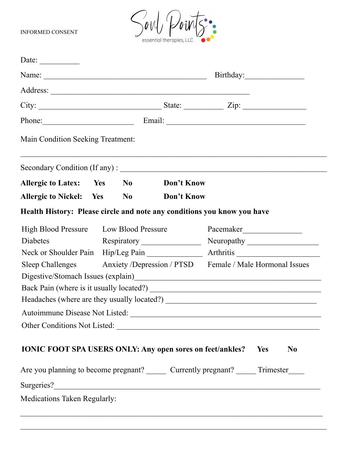INFORMED CONSENT



| Date: $\qquad \qquad$                                                     |                                        |  |                             |                                                                                           |
|---------------------------------------------------------------------------|----------------------------------------|--|-----------------------------|-------------------------------------------------------------------------------------------|
|                                                                           |                                        |  |                             |                                                                                           |
|                                                                           |                                        |  |                             |                                                                                           |
|                                                                           |                                        |  |                             |                                                                                           |
|                                                                           |                                        |  | Phone: Email: Email: Email: |                                                                                           |
| Main Condition Seeking Treatment:                                         |                                        |  |                             |                                                                                           |
|                                                                           |                                        |  |                             |                                                                                           |
| Allergic to Latex: Yes No Don't Know                                      |                                        |  |                             |                                                                                           |
| Allergic to Nickel: Yes No                                                |                                        |  | Don't Know                  |                                                                                           |
| Health History: Please circle and note any conditions you know you have   |                                        |  |                             |                                                                                           |
|                                                                           | High Blood Pressure Low Blood Pressure |  |                             |                                                                                           |
| Diabetes                                                                  |                                        |  |                             |                                                                                           |
|                                                                           |                                        |  |                             |                                                                                           |
| Sleep Challenges Anxiety /Depression / PTSD Female / Male Hormonal Issues |                                        |  |                             |                                                                                           |
|                                                                           |                                        |  |                             |                                                                                           |
|                                                                           |                                        |  |                             |                                                                                           |
|                                                                           |                                        |  |                             |                                                                                           |
|                                                                           |                                        |  |                             | Autoimmune Disease Not Listed:                                                            |
|                                                                           |                                        |  |                             | Other Conditions Not Listed:                                                              |
|                                                                           |                                        |  |                             |                                                                                           |
| <b>IONIC FOOT SPA USERS ONLY: Any open sores on feet/ankles?</b> Yes      |                                        |  |                             | N <sub>0</sub>                                                                            |
|                                                                           |                                        |  |                             | Are you planning to become pregnant? ________ Currently pregnant? _______ Trimester______ |
|                                                                           |                                        |  |                             |                                                                                           |

 $\mathcal{L}_\text{max} = \frac{1}{2} \sum_{i=1}^{n} \frac{1}{2} \sum_{i=1}^{n} \frac{1}{2} \sum_{i=1}^{n} \frac{1}{2} \sum_{i=1}^{n} \frac{1}{2} \sum_{i=1}^{n} \frac{1}{2} \sum_{i=1}^{n} \frac{1}{2} \sum_{i=1}^{n} \frac{1}{2} \sum_{i=1}^{n} \frac{1}{2} \sum_{i=1}^{n} \frac{1}{2} \sum_{i=1}^{n} \frac{1}{2} \sum_{i=1}^{n} \frac{1}{2} \sum_{i=1}^{n} \frac{1$ 

Medications Taken Regularly: